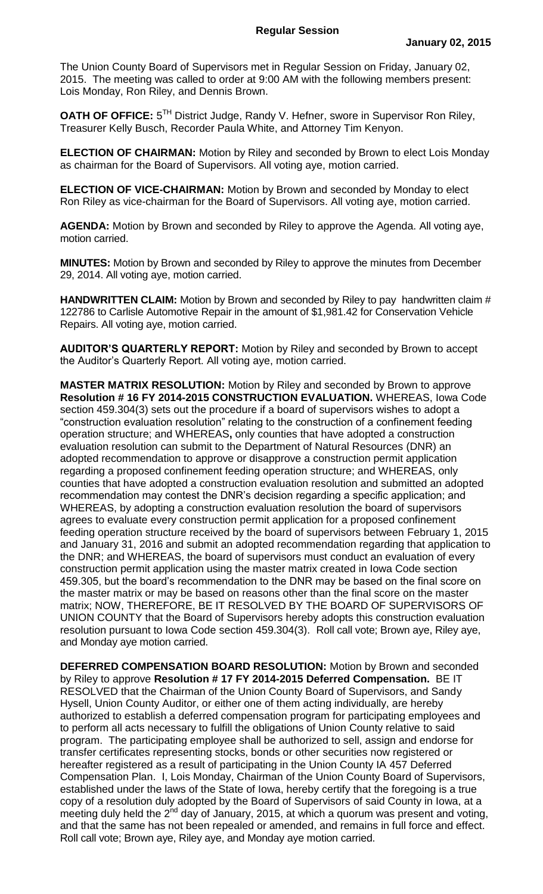The Union County Board of Supervisors met in Regular Session on Friday, January 02, 2015. The meeting was called to order at 9:00 AM with the following members present: Lois Monday, Ron Riley, and Dennis Brown.

**OATH OF OFFICE:** 5<sup>TH</sup> District Judge, Randy V. Hefner, swore in Supervisor Ron Riley, Treasurer Kelly Busch, Recorder Paula White, and Attorney Tim Kenyon.

**ELECTION OF CHAIRMAN:** Motion by Riley and seconded by Brown to elect Lois Monday as chairman for the Board of Supervisors. All voting aye, motion carried.

**ELECTION OF VICE-CHAIRMAN:** Motion by Brown and seconded by Monday to elect Ron Riley as vice-chairman for the Board of Supervisors. All voting aye, motion carried.

**AGENDA:** Motion by Brown and seconded by Riley to approve the Agenda. All voting aye, motion carried.

**MINUTES:** Motion by Brown and seconded by Riley to approve the minutes from December 29, 2014. All voting aye, motion carried.

**HANDWRITTEN CLAIM:** Motion by Brown and seconded by Riley to pay handwritten claim # 122786 to Carlisle Automotive Repair in the amount of \$1,981.42 for Conservation Vehicle Repairs. All voting aye, motion carried.

**AUDITOR'S QUARTERLY REPORT:** Motion by Riley and seconded by Brown to accept the Auditor's Quarterly Report. All voting aye, motion carried.

**MASTER MATRIX RESOLUTION:** Motion by Riley and seconded by Brown to approve **Resolution # 16 FY 2014-2015 CONSTRUCTION EVALUATION.** WHEREAS, Iowa Code section 459.304(3) sets out the procedure if a board of supervisors wishes to adopt a "construction evaluation resolution" relating to the construction of a confinement feeding operation structure; and WHEREAS**,** only counties that have adopted a construction evaluation resolution can submit to the Department of Natural Resources (DNR) an adopted recommendation to approve or disapprove a construction permit application regarding a proposed confinement feeding operation structure; and WHEREAS, only counties that have adopted a construction evaluation resolution and submitted an adopted recommendation may contest the DNR's decision regarding a specific application; and WHEREAS, by adopting a construction evaluation resolution the board of supervisors agrees to evaluate every construction permit application for a proposed confinement feeding operation structure received by the board of supervisors between February 1, 2015 and January 31, 2016 and submit an adopted recommendation regarding that application to the DNR; and WHEREAS, the board of supervisors must conduct an evaluation of every construction permit application using the master matrix created in Iowa Code section 459.305, but the board's recommendation to the DNR may be based on the final score on the master matrix or may be based on reasons other than the final score on the master matrix; NOW, THEREFORE, BE IT RESOLVED BY THE BOARD OF SUPERVISORS OF UNION COUNTY that the Board of Supervisors hereby adopts this construction evaluation resolution pursuant to Iowa Code section 459.304(3). Roll call vote; Brown aye, Riley aye, and Monday aye motion carried.

**DEFERRED COMPENSATION BOARD RESOLUTION:** Motion by Brown and seconded by Riley to approve **Resolution # 17 FY 2014-2015 Deferred Compensation.** BE IT RESOLVED that the Chairman of the Union County Board of Supervisors, and Sandy Hysell, Union County Auditor, or either one of them acting individually, are hereby authorized to establish a deferred compensation program for participating employees and to perform all acts necessary to fulfill the obligations of Union County relative to said program. The participating employee shall be authorized to sell, assign and endorse for transfer certificates representing stocks, bonds or other securities now registered or hereafter registered as a result of participating in the Union County IA 457 Deferred Compensation Plan. I, Lois Monday, Chairman of the Union County Board of Supervisors, established under the laws of the State of Iowa, hereby certify that the foregoing is a true copy of a resolution duly adopted by the Board of Supervisors of said County in Iowa, at a meeting duly held the 2<sup>nd</sup> day of January, 2015, at which a quorum was present and voting, and that the same has not been repealed or amended, and remains in full force and effect. Roll call vote; Brown aye, Riley aye, and Monday aye motion carried.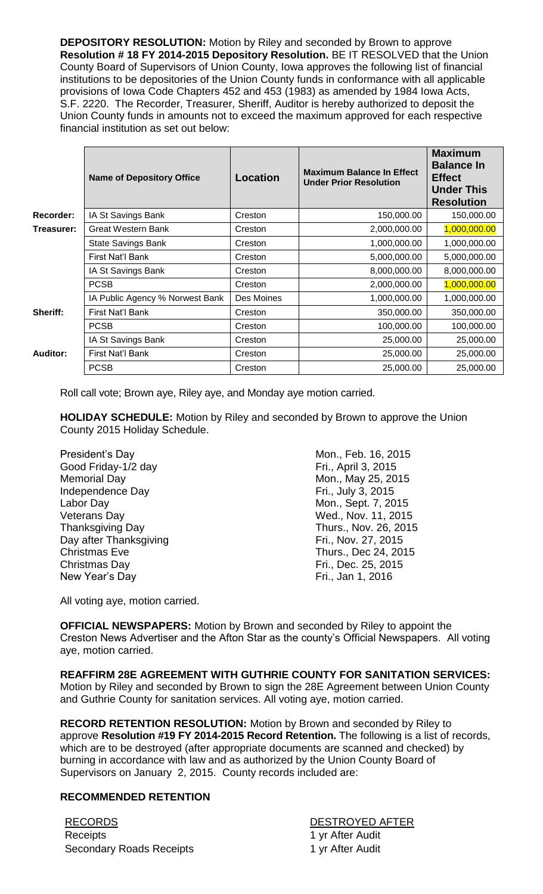**DEPOSITORY RESOLUTION:** Motion by Riley and seconded by Brown to approve **Resolution # 18 FY 2014-2015 Depository Resolution.** BE IT RESOLVED that the Union County Board of Supervisors of Union County, Iowa approves the following list of financial institutions to be depositories of the Union County funds in conformance with all applicable provisions of Iowa Code Chapters 452 and 453 (1983) as amended by 1984 Iowa Acts, S.F. 2220. The Recorder, Treasurer, Sheriff, Auditor is hereby authorized to deposit the Union County funds in amounts not to exceed the maximum approved for each respective financial institution as set out below:

|                 | <b>Name of Depository Office</b> | <b>Location</b> | <b>Maximum Balance In Effect</b><br><b>Under Prior Resolution</b> | <b>Maximum</b><br><b>Balance In</b><br><b>Effect</b><br><b>Under This</b><br><b>Resolution</b> |
|-----------------|----------------------------------|-----------------|-------------------------------------------------------------------|------------------------------------------------------------------------------------------------|
| Recorder:       | IA St Savings Bank               | Creston         | 150,000.00                                                        | 150,000.00                                                                                     |
| Treasurer:      | <b>Great Western Bank</b>        | Creston         | 2,000,000.00                                                      | 1,000,000.00                                                                                   |
|                 | <b>State Savings Bank</b>        | Creston         | 1,000,000.00                                                      | 1,000,000.00                                                                                   |
|                 | First Nat'l Bank                 | Creston         | 5,000,000.00                                                      | 5,000,000.00                                                                                   |
|                 | IA St Savings Bank               | Creston         | 8,000,000.00                                                      | 8,000,000.00                                                                                   |
|                 | <b>PCSB</b>                      | Creston         | 2,000,000.00                                                      | 1,000,000.00                                                                                   |
|                 | IA Public Agency % Norwest Bank  | Des Moines      | 1,000,000.00                                                      | 1,000,000.00                                                                                   |
| Sheriff:        | First Nat'l Bank                 | Creston         | 350,000.00                                                        | 350,000.00                                                                                     |
|                 | <b>PCSB</b>                      | Creston         | 100,000.00                                                        | 100,000.00                                                                                     |
| <b>Auditor:</b> | IA St Savings Bank               | Creston         | 25,000.00                                                         | 25,000.00                                                                                      |
|                 | First Nat'l Bank                 | Creston         | 25,000.00                                                         | 25,000.00                                                                                      |
|                 | <b>PCSB</b>                      | Creston         | 25,000.00                                                         | 25,000.00                                                                                      |

Roll call vote; Brown aye, Riley aye, and Monday aye motion carried.

**HOLIDAY SCHEDULE:** Motion by Riley and seconded by Brown to approve the Union County 2015 Holiday Schedule.

Good Friday-1/2 day Fri., April 3, 2015 Memorial Day **Mon.**, May 25, 2015 Independence Day **Fri.**, July 3, 2015 Labor Day Mon., Sept. 7, 2015 Veterans Day Neterans Day Neterans Day Neterans Day Neterans Day Neterans All 2015 Thanksgiving Day Thurs., Nov. 26, 2015 Day after Thanksgiving Fri., Nov. 27, 2015 Christmas Eve Thurs., Dec 24, 2015 Christmas Day **Fri.**, Dec. 25, 2015 New Year's Day **Fri.**, Jan 1, 2016

President's Day **Mon.**, Feb. 16, 2015

All voting aye, motion carried.

**OFFICIAL NEWSPAPERS:** Motion by Brown and seconded by Riley to appoint the Creston News Advertiser and the Afton Star as the county's Official Newspapers. All voting aye, motion carried.

**REAFFIRM 28E AGREEMENT WITH GUTHRIE COUNTY FOR SANITATION SERVICES:** Motion by Riley and seconded by Brown to sign the 28E Agreement between Union County and Guthrie County for sanitation services. All voting aye, motion carried.

**RECORD RETENTION RESOLUTION:** Motion by Brown and seconded by Riley to approve **Resolution #19 FY 2014-2015 Record Retention.** The following is a list of records, which are to be destroyed (after appropriate documents are scanned and checked) by burning in accordance with law and as authorized by the Union County Board of Supervisors on January 2, 2015. County records included are:

## **RECOMMENDED RETENTION**

| <b>RECORDS</b>                  | <b>DESTROYED AFTER</b> |  |  |
|---------------------------------|------------------------|--|--|
| Receipts                        | 1 yr After Audit       |  |  |
| <b>Secondary Roads Receipts</b> | 1 yr After Audit       |  |  |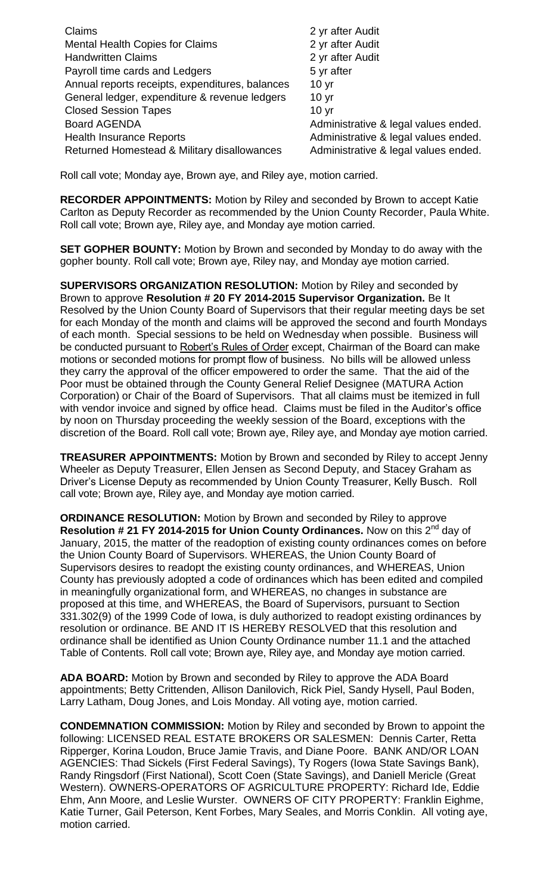| Claims                                          | 2 yr after Audit                     |
|-------------------------------------------------|--------------------------------------|
| <b>Mental Health Copies for Claims</b>          | 2 yr after Audit                     |
| <b>Handwritten Claims</b>                       | 2 yr after Audit                     |
| Payroll time cards and Ledgers                  | 5 yr after                           |
| Annual reports receipts, expenditures, balances | 10 <sub>yr</sub>                     |
| General ledger, expenditure & revenue ledgers   | 10 <sub>yr</sub>                     |
| <b>Closed Session Tapes</b>                     | 10 <sub>yr</sub>                     |
| <b>Board AGENDA</b>                             | Administrative & legal values ended. |
| <b>Health Insurance Reports</b>                 | Administrative & legal values ended. |
| Returned Homestead & Military disallowances     | Administrative & legal values ended. |

Roll call vote; Monday aye, Brown aye, and Riley aye, motion carried.

**RECORDER APPOINTMENTS:** Motion by Riley and seconded by Brown to accept Katie Carlton as Deputy Recorder as recommended by the Union County Recorder, Paula White. Roll call vote; Brown aye, Riley aye, and Monday aye motion carried.

**SET GOPHER BOUNTY:** Motion by Brown and seconded by Monday to do away with the gopher bounty. Roll call vote; Brown aye, Riley nay, and Monday aye motion carried.

**SUPERVISORS ORGANIZATION RESOLUTION:** Motion by Riley and seconded by Brown to approve **Resolution # 20 FY 2014-2015 Supervisor Organization.** Be It Resolved by the Union County Board of Supervisors that their regular meeting days be set for each Monday of the month and claims will be approved the second and fourth Mondays of each month. Special sessions to be held on Wednesday when possible. Business will be conducted pursuant to Robert's Rules of Order except, Chairman of the Board can make motions or seconded motions for prompt flow of business. No bills will be allowed unless they carry the approval of the officer empowered to order the same. That the aid of the Poor must be obtained through the County General Relief Designee (MATURA Action Corporation) or Chair of the Board of Supervisors. That all claims must be itemized in full with vendor invoice and signed by office head. Claims must be filed in the Auditor's office by noon on Thursday proceeding the weekly session of the Board, exceptions with the discretion of the Board. Roll call vote; Brown aye, Riley aye, and Monday aye motion carried.

**TREASURER APPOINTMENTS:** Motion by Brown and seconded by Riley to accept Jenny Wheeler as Deputy Treasurer, Ellen Jensen as Second Deputy, and Stacey Graham as Driver's License Deputy as recommended by Union County Treasurer, Kelly Busch. Roll call vote; Brown aye, Riley aye, and Monday aye motion carried.

**ORDINANCE RESOLUTION:** Motion by Brown and seconded by Riley to approve **Resolution # 21 FY 2014-2015 for Union County Ordinances.** Now on this 2<sup>nd</sup> day of January, 2015, the matter of the readoption of existing county ordinances comes on before the Union County Board of Supervisors. WHEREAS, the Union County Board of Supervisors desires to readopt the existing county ordinances, and WHEREAS, Union County has previously adopted a code of ordinances which has been edited and compiled in meaningfully organizational form, and WHEREAS, no changes in substance are proposed at this time, and WHEREAS, the Board of Supervisors, pursuant to Section 331.302(9) of the 1999 Code of Iowa, is duly authorized to readopt existing ordinances by resolution or ordinance. BE AND IT IS HEREBY RESOLVED that this resolution and ordinance shall be identified as Union County Ordinance number 11.1 and the attached Table of Contents. Roll call vote; Brown aye, Riley aye, and Monday aye motion carried.

**ADA BOARD:** Motion by Brown and seconded by Riley to approve the ADA Board appointments; Betty Crittenden, Allison Danilovich, Rick Piel, Sandy Hysell, Paul Boden, Larry Latham, Doug Jones, and Lois Monday. All voting aye, motion carried.

**CONDEMNATION COMMISSION:** Motion by Riley and seconded by Brown to appoint the following: LICENSED REAL ESTATE BROKERS OR SALESMEN: Dennis Carter, Retta Ripperger, Korina Loudon, Bruce Jamie Travis, and Diane Poore. BANK AND/OR LOAN AGENCIES: Thad Sickels (First Federal Savings), Ty Rogers (Iowa State Savings Bank), Randy Ringsdorf (First National), Scott Coen (State Savings), and Daniell Mericle (Great Western). OWNERS-OPERATORS OF AGRICULTURE PROPERTY: Richard Ide, Eddie Ehm, Ann Moore, and Leslie Wurster. OWNERS OF CITY PROPERTY: Franklin Eighme, Katie Turner, Gail Peterson, Kent Forbes, Mary Seales, and Morris Conklin. All voting aye, motion carried.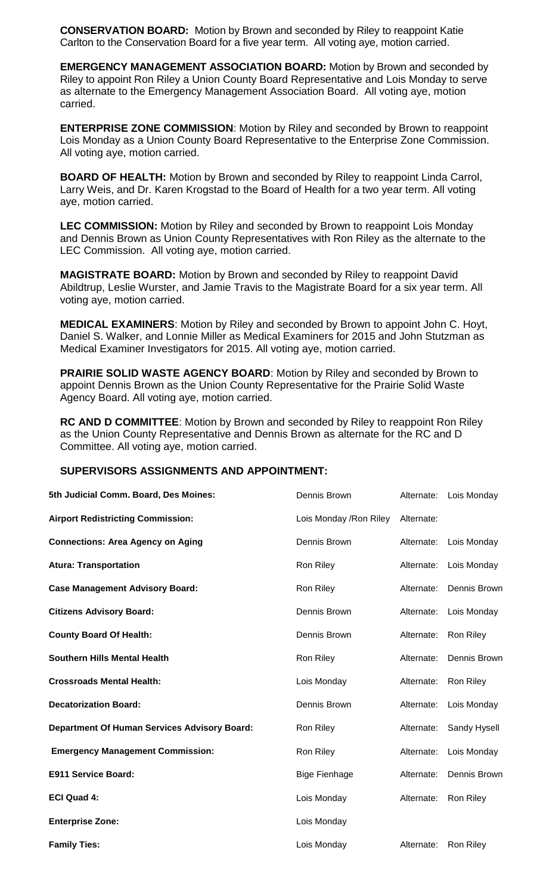**CONSERVATION BOARD:** Motion by Brown and seconded by Riley to reappoint Katie Carlton to the Conservation Board for a five year term. All voting aye, motion carried.

**EMERGENCY MANAGEMENT ASSOCIATION BOARD:** Motion by Brown and seconded by Riley to appoint Ron Riley a Union County Board Representative and Lois Monday to serve as alternate to the Emergency Management Association Board. All voting aye, motion carried.

**ENTERPRISE ZONE COMMISSION**: Motion by Riley and seconded by Brown to reappoint Lois Monday as a Union County Board Representative to the Enterprise Zone Commission. All voting aye, motion carried.

**BOARD OF HEALTH:** Motion by Brown and seconded by Riley to reappoint Linda Carrol, Larry Weis, and Dr. Karen Krogstad to the Board of Health for a two year term. All voting aye, motion carried.

**LEC COMMISSION:** Motion by Riley and seconded by Brown to reappoint Lois Monday and Dennis Brown as Union County Representatives with Ron Riley as the alternate to the LEC Commission. All voting aye, motion carried.

**MAGISTRATE BOARD:** Motion by Brown and seconded by Riley to reappoint David Abildtrup, Leslie Wurster, and Jamie Travis to the Magistrate Board for a six year term. All voting aye, motion carried.

**MEDICAL EXAMINERS**: Motion by Riley and seconded by Brown to appoint John C. Hoyt, Daniel S. Walker, and Lonnie Miller as Medical Examiners for 2015 and John Stutzman as Medical Examiner Investigators for 2015. All voting aye, motion carried.

**PRAIRIE SOLID WASTE AGENCY BOARD:** Motion by Riley and seconded by Brown to appoint Dennis Brown as the Union County Representative for the Prairie Solid Waste Agency Board. All voting aye, motion carried.

**RC AND D COMMITTEE**: Motion by Brown and seconded by Riley to reappoint Ron Riley as the Union County Representative and Dennis Brown as alternate for the RC and D Committee. All voting aye, motion carried.

## **SUPERVISORS ASSIGNMENTS AND APPOINTMENT:**

| 5th Judicial Comm. Board, Des Moines:               | Dennis Brown            | Alternate: | Lois Monday  |
|-----------------------------------------------------|-------------------------|------------|--------------|
| <b>Airport Redistricting Commission:</b>            | Lois Monday / Ron Riley | Alternate: |              |
| <b>Connections: Area Agency on Aging</b>            | Dennis Brown            | Alternate: | Lois Monday  |
| <b>Atura: Transportation</b>                        | Ron Riley               | Alternate: | Lois Monday  |
| <b>Case Management Advisory Board:</b>              | Ron Riley               | Alternate: | Dennis Brown |
| <b>Citizens Advisory Board:</b>                     | Dennis Brown            | Alternate: | Lois Monday  |
| <b>County Board Of Health:</b>                      | Dennis Brown            | Alternate: | Ron Riley    |
| <b>Southern Hills Mental Health</b>                 | Ron Riley               | Alternate: | Dennis Brown |
| <b>Crossroads Mental Health:</b>                    | Lois Monday             | Alternate: | Ron Riley    |
| <b>Decatorization Board:</b>                        | Dennis Brown            | Alternate: | Lois Monday  |
| <b>Department Of Human Services Advisory Board:</b> | Ron Riley               | Alternate: | Sandy Hysell |
| <b>Emergency Management Commission:</b>             | Ron Riley               | Alternate: | Lois Monday  |
| <b>E911 Service Board:</b>                          | <b>Bige Fienhage</b>    | Alternate: | Dennis Brown |
| <b>ECI Quad 4:</b>                                  | Lois Monday             | Alternate: | Ron Riley    |
| <b>Enterprise Zone:</b>                             | Lois Monday             |            |              |
| <b>Family Ties:</b>                                 | Lois Monday             | Alternate: | Ron Riley    |